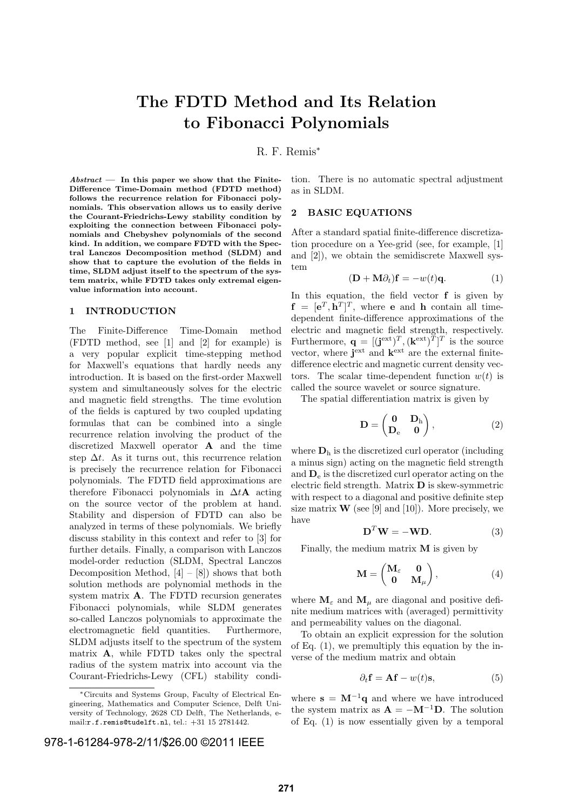# The FDTD Method and Its Relation to Fibonacci Polynomials

## R. F. Remis<sup>∗</sup>

 $Abstract$  — In this paper we show that the Finite-Difference Time-Domain method (FDTD method) follows the recurrence relation for Fibonacci polynomials. This observation allows us to easily derive the Courant-Friedrichs-Lewy stability condition by exploiting the connection between Fibonacci polynomials and Chebyshev polynomials of the second kind. In addition, we compare FDTD with the Spectral Lanczos Decomposition method (SLDM) and show that to capture the evolution of the fields in time, SLDM adjust itself to the spectrum of the system matrix, while FDTD takes only extremal eigenvalue information into account.

### 1 INTRODUCTION

The Finite-Difference Time-Domain method (FDTD method, see [1] and [2] for example) is a very popular explicit time-stepping method for Maxwell's equations that hardly needs any introduction. It is based on the first-order Maxwell system and simultaneously solves for the electric and magnetic field strengths. The time evolution of the fields is captured by two coupled updating formulas that can be combined into a single recurrence relation involving the product of the discretized Maxwell operator A and the time step  $\Delta t$ . As it turns out, this recurrence relation is precisely the recurrence relation for Fibonacci polynomials. The FDTD field approximations are therefore Fibonacci polynomials in  $\Delta t$ **A** acting on the source vector of the problem at hand. Stability and dispersion of FDTD can also be analyzed in terms of these polynomials. We briefly discuss stability in this context and refer to [3] for further details. Finally, a comparison with Lanczos model-order reduction (SLDM, Spectral Lanczos Decomposition Method,  $[4] - [8]$  shows that both solution methods are polynomial methods in the system matrix A. The FDTD recursion generates Fibonacci polynomials, while SLDM generates so-called Lanczos polynomials to approximate the electromagnetic field quantities. Furthermore, SLDM adjusts itself to the spectrum of the system matrix A, while FDTD takes only the spectral radius of the system matrix into account via the Courant-Friedrichs-Lewy (CFL) stability condi-

## 978-1-61284-978-2/11/\$26.00 ©2011 IEEE

tion. There is no automatic spectral adjustment as in SLDM.

#### 2 BASIC EQUATIONS

After a standard spatial finite-difference discretization procedure on a Yee-grid (see, for example, [1] and [2]), we obtain the semidiscrete Maxwell system

$$
(\mathbf{D} + \mathbf{M}\partial_t)\mathbf{f} = -w(t)\mathbf{q}.
$$
 (1)

In this equation, the field vector  $f$  is given by  $f = [e^T, h^T]^T$ , where **e** and **h** contain all timedependent finite-difference approximations of the electric and magnetic field strength, respectively. Furthermore,  $\mathbf{q} = [(\mathbf{j}^{\text{ext}})^T, (\mathbf{k}^{\text{ext}})^T]^T$  is the source vector, where  $j^{\text{ext}}$  and  $k^{\text{ext}}$  are the external finitedifference electric and magnetic current density vectors. The scalar time-dependent function  $w(t)$  is called the source wavelet or source signature.

The spatial differentiation matrix is given by

$$
\mathbf{D} = \begin{pmatrix} \mathbf{0} & \mathbf{D}_{h} \\ \mathbf{D}_{e} & \mathbf{0} \end{pmatrix}, \tag{2}
$$

where  $D_h$  is the discretized curl operator (including a minus sign) acting on the magnetic field strength and  $D_e$  is the discretized curl operator acting on the electric field strength. Matrix  $\bf{D}$  is skew-symmetric with respect to a diagonal and positive definite step size matrix  $\mathbf{W}$  (see [9] and [10]). More precisely, we have

$$
\mathbf{D}^T \mathbf{W} = -\mathbf{W} \mathbf{D}.\tag{3}
$$

Finally, the medium matrix  $M$  is given by

$$
\mathbf{M} = \begin{pmatrix} \mathbf{M}_{\varepsilon} & \mathbf{0} \\ \mathbf{0} & \mathbf{M}_{\mu} \end{pmatrix}, \tag{4}
$$

where  $\mathbf{M}_{\varepsilon}$  and  $\mathbf{M}_{\mu}$  are diagonal and positive definite medium matrices with (averaged) permittivity and permeability values on the diagonal.

To obtain an explicit expression for the solution of Eq. (1), we premultiply this equation by the inverse of the medium matrix and obtain

$$
\partial_t \mathbf{f} = \mathbf{A} \mathbf{f} - w(t) \mathbf{s},\tag{5}
$$

where  $s = M^{-1}q$  and where we have introduced the system matrix as  $\mathbf{A} = -\mathbf{M}^{-1}\mathbf{D}$ . The solution of Eq. (1) is now essentially given by a temporal

<sup>∗</sup>Circuits and Systems Group, Faculty of Electrical Engineering, Mathematics and Computer Science, Delft University of Technology, 2628 CD Delft, The Netherlands, email:r.f.remis@tudelft.nl, tel.: +31 15 2781442.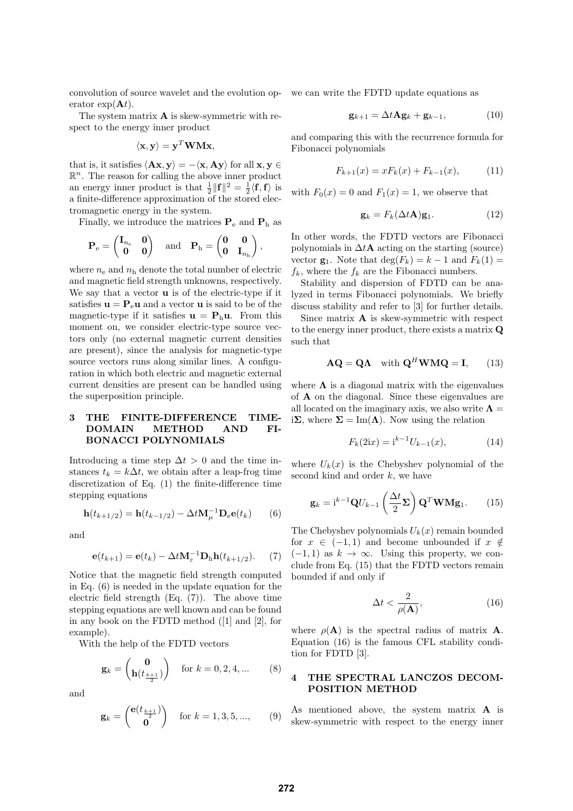convolution of source wavelet and the evolution op-we can write the FDTD update equations as erator  $\exp(\mathbf{A}t)$ .

The system matrix A is skew-symmetric with respect to the energy inner product

$$
\langle \mathbf{x}, \mathbf{y} \rangle = \mathbf{y}^T \mathbf{W} \mathbf{M} \mathbf{x},
$$

that is, it satisfies  $\langle Ax, y \rangle = -\langle x, Ay \rangle$  for all  $x, y \in$  $\mathbb{R}^n$ . The reason for calling the above inner product an energy inner product is that  $\frac{1}{2} ||\mathbf{f}||^2 = \frac{1}{2} \langle \mathbf{f}, \mathbf{f} \rangle$  is a finite-difference approximation of the stored electromagnetic energy in the system.

Finally, we introduce the matrices  $P_e$  and  $P_h$  as

$$
\mathbf{P}_{\mathrm{e}} = \begin{pmatrix} \mathbf{I}_{n_{\mathrm{e}}} & \mathbf{0} \\ \mathbf{0} & \mathbf{0} \end{pmatrix} \quad \text{and} \quad \mathbf{P}_{\mathrm{h}} = \begin{pmatrix} \mathbf{0} & \mathbf{0} \\ \mathbf{0} & \mathbf{I}_{n_{\mathrm{h}}} \end{pmatrix},
$$

where  $n_e$  and  $n_h$  denote the total number of electric and magnetic field strength unknowns, respectively. We say that a vector u is of the electric-type if it satisfies  $\mathbf{u} = \mathbf{P}_{e} \mathbf{u}$  and a vector **u** is said to be of the magnetic-type if it satisfies  $\mathbf{u} = \mathbf{P}_h \mathbf{u}$ . From this moment on, we consider electric-type source vectors only (no external magnetic current densities are present), since the analysis for magnetic-type source vectors runs along similar lines. A configuration in which both electric and magnetic external current densities are present can be handled using the superposition principle.

## 3 THE FINITE-DIFFERENCE TIME-DOMAIN METHOD AND FI-BONACCI POLYNOMIALS

Introducing a time step  $\Delta t > 0$  and the time instances  $t_k = k\Delta t$ , we obtain after a leap-frog time discretization of Eq. (1) the finite-difference time stepping equations

$$
\mathbf{h}(t_{k+1/2}) = \mathbf{h}(t_{k-1/2}) - \Delta t \mathbf{M}_{\mu}^{-1} \mathbf{D}_{e} \mathbf{e}(t_{k}) \qquad (6)
$$

and

$$
\mathbf{e}(t_{k+1}) = \mathbf{e}(t_k) - \Delta t \mathbf{M}_{\varepsilon}^{-1} \mathbf{D}_{\mathrm{h}} \mathbf{h}(t_{k+1/2}). \tag{7}
$$

Notice that the magnetic field strength computed in Eq.  $(6)$  is needed in the update equation for the electric field strength (Eq. (7)). The above time stepping equations are well known and can be found in any book on the FDTD method ([1] and [2], for example).

With the help of the FDTD vectors

$$
\mathbf{g}_k = \begin{pmatrix} \mathbf{0} \\ \mathbf{h}(t_{\frac{k+1}{2}}) \end{pmatrix} \quad \text{for } k = 0, 2, 4, \dots \tag{8}
$$

and

$$
\mathbf{g}_k = \begin{pmatrix} \mathbf{e}(t_{\frac{k+1}{2}}) \\ \mathbf{0} \end{pmatrix} \quad \text{for } k = 1, 3, 5, ..., \qquad (9)
$$

$$
\mathbf{g}_{k+1} = \Delta t \mathbf{A} \mathbf{g}_k + \mathbf{g}_{k-1},\tag{10}
$$

and comparing this with the recurrence formula for Fibonacci polynomials

$$
F_{k+1}(x) = xF_k(x) + F_{k-1}(x), \qquad (11)
$$

with  $F_0(x) = 0$  and  $F_1(x) = 1$ , we observe that

$$
\mathbf{g}_k = F_k(\Delta t \mathbf{A}) \mathbf{g}_1. \tag{12}
$$

In other words, the FDTD vectors are Fibonacci polynomials in  $\Delta t$ **A** acting on the starting (source) vector  $\mathbf{g}_1$ . Note that  $\deg(F_k) = k - 1$  and  $F_k(1) =$  $f_k$ , where the  $f_k$  are the Fibonacci numbers.

Stability and dispersion of FDTD can be analyzed in terms Fibonacci polynomials. We briefly discuss stability and refer to [3] for further details.

Since matrix  $\bf{A}$  is skew-symmetric with respect to the energy inner product, there exists a matrix Q such that

$$
AQ = QA \text{ with } Q^H W M Q = I, \qquad (13)
$$

where  $\Lambda$  is a diagonal matrix with the eigenvalues of A on the diagonal. Since these eigenvalues are all located on the imaginary axis, we also write  $\Lambda =$ i $\Sigma$ , where  $\Sigma = \text{Im}(\Lambda)$ . Now using the relation

$$
F_k(2ix) = i^{k-1}U_{k-1}(x),
$$
\n(14)

where  $U_k(x)$  is the Chebyshev polynomial of the second kind and order  $k$ , we have

$$
\mathbf{g}_k = \mathbf{i}^{k-1} \mathbf{Q} U_{k-1} \left( \frac{\Delta t}{2} \mathbf{\Sigma} \right) \mathbf{Q}^T \mathbf{W} \mathbf{M} \mathbf{g}_1.
$$
 (15)

The Chebyshev polynomials  $U_k(x)$  remain bounded for  $x \in (-1,1)$  and become unbounded if  $x \notin$  $(-1, 1)$  as  $k \to \infty$ . Using this property, we conclude from Eq. (15) that the FDTD vectors remain bounded if and only if

$$
\Delta t < \frac{2}{\rho(\mathbf{A})},\tag{16}
$$

where  $\rho(\mathbf{A})$  is the spectral radius of matrix **A**. Equation (16) is the famous CFL stability condition for FDTD [3].

#### 4 THE SPECTRAL LANCZOS DECOM-POSITION METHOD

As mentioned above, the system matrix A is skew-symmetric with respect to the energy inner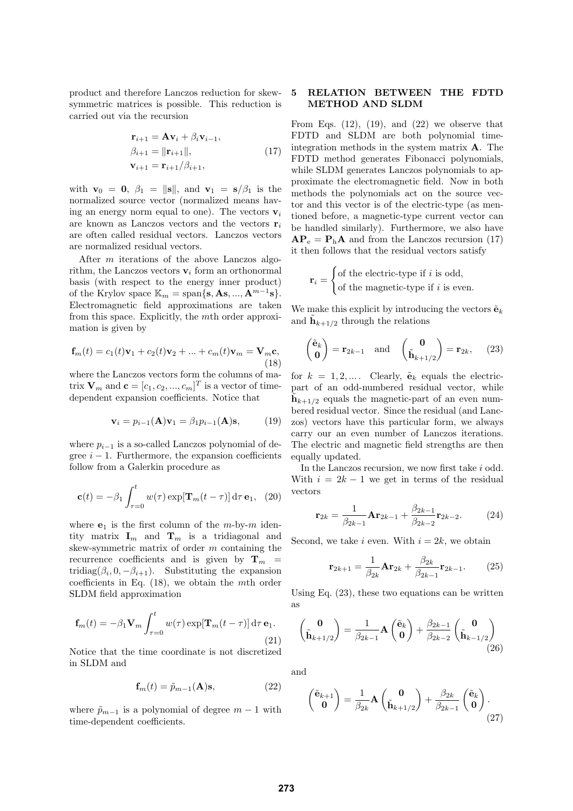product and therefore Lanczos reduction for skewsymmetric matrices is possible. This reduction is carried out via the recursion

$$
\mathbf{r}_{i+1} = \mathbf{A}\mathbf{v}_i + \beta_i \mathbf{v}_{i-1}, \n\beta_{i+1} = ||\mathbf{r}_{i+1}||, \n\mathbf{v}_{i+1} = \mathbf{r}_{i+1}/\beta_{i+1},
$$
\n(17)

with  $\mathbf{v}_0 = \mathbf{0}$ ,  $\beta_1 = ||\mathbf{s}||$ , and  $\mathbf{v}_1 = \mathbf{s}/\beta_1$  is the normalized source vector (normalized means having an energy norm equal to one). The vectors  $v_i$ are known as Lanczos vectors and the vectors  $r_i$ are often called residual vectors. Lanczos vectors are normalized residual vectors.

After m iterations of the above Lanczos algorithm, the Lanczos vectors  $\mathbf{v}_i$  form an orthonormal basis (with respect to the energy inner product) of the Krylov space  $\mathbb{K}_m = \text{span}\{\mathbf{s}, \mathbf{As}, ..., \mathbf{A}^{m-1}\mathbf{s}\}.$ Electromagnetic field approximations are taken from this space. Explicitly, the mth order approximation is given by

$$
\mathbf{f}_m(t) = c_1(t)\mathbf{v}_1 + c_2(t)\mathbf{v}_2 + \dots + c_m(t)\mathbf{v}_m = \mathbf{V}_m \mathbf{c},
$$
\n(18)

where the Lanczos vectors form the columns of matrix  $\mathbf{V}_m$  and  $\mathbf{c} = [c_1, c_2, ..., c_m]^T$  is a vector of timedependent expansion coefficients. Notice that

$$
\mathbf{v}_i = p_{i-1}(\mathbf{A})\mathbf{v}_1 = \beta_1 p_{i-1}(\mathbf{A})\mathbf{s},\qquad(19)
$$

where  $p_{i-1}$  is a so-called Lanczos polynomial of degree  $i - 1$ . Furthermore, the expansion coefficients follow from a Galerkin procedure as

$$
\mathbf{c}(t) = -\beta_1 \int_{\tau=0}^t w(\tau) \exp[\mathbf{T}_m(t-\tau)] \, \mathrm{d}\tau \, \mathbf{e}_1, \tag{20}
$$

where  $e_1$  is the first column of the m-by-m identity matrix  $\mathbf{I}_m$  and  $\mathbf{T}_m$  is a tridiagonal and skew-symmetric matrix of order m containing the recurrence coefficients and is given by  $\mathbf{T}_m$  = tridiag( $\beta_i$ , 0,  $-\beta_{i+1}$ ). Substituting the expansion coefficients in Eq. (18), we obtain the mth order SLDM field approximation

$$
\mathbf{f}_m(t) = -\beta_1 \mathbf{V}_m \int_{\tau=0}^t w(\tau) \exp[\mathbf{T}_m(t-\tau)] \, \mathrm{d}\tau \, \mathbf{e}_1.
$$
\n(21)

Notice that the time coordinate is not discretized in SLDM and

$$
\mathbf{f}_m(t) = \tilde{p}_{m-1}(\mathbf{A})\mathbf{s},\tag{22}
$$

where  $\tilde{p}_{m-1}$  is a polynomial of degree  $m-1$  with time-dependent coefficients.

## 5 RELATION BETWEEN THE FDTD METHOD AND SLDM

From Eqs.  $(12)$ ,  $(19)$ , and  $(22)$  we observe that FDTD and SLDM are both polynomial timeintegration methods in the system matrix A. The FDTD method generates Fibonacci polynomials, while SLDM generates Lanczos polynomials to approximate the electromagnetic field. Now in both methods the polynomials act on the source vector and this vector is of the electric-type (as mentioned before, a magnetic-type current vector can be handled similarly). Furthermore, we also have  $AP_e = P_hA$  and from the Lanczos recursion (17) it then follows that the residual vectors satisfy

$$
\mathbf{r}_i = \begin{cases} \text{of the electric-type if } i \text{ is odd,} \\ \text{of the magnetic-type if } i \text{ is even.} \end{cases}
$$

We make this explicit by introducing the vectors  $\tilde{\mathbf{e}}_k$ and  $\tilde{\mathbf{h}}_{k+1/2}$  through the relations

$$
\begin{pmatrix} \tilde{\mathbf{e}}_k \\ \mathbf{0} \end{pmatrix} = \mathbf{r}_{2k-1} \text{ and } \begin{pmatrix} \mathbf{0} \\ \tilde{\mathbf{h}}_{k+1/2} \end{pmatrix} = \mathbf{r}_{2k}, \quad (23)
$$

for  $k = 1, 2, \dots$ . Clearly,  $\tilde{\mathbf{e}}_k$  equals the electricpart of an odd-numbered residual vector, while  $\tilde{\mathbf{h}}_{k+1/2}$  equals the magnetic-part of an even numbered residual vector. Since the residual (and Lanczos) vectors have this particular form, we always carry our an even number of Lanczos iterations. The electric and magnetic field strengths are then equally updated.

In the Lanczos recursion, we now first take i odd. With  $i = 2k - 1$  we get in terms of the residual vectors

$$
\mathbf{r}_{2k} = \frac{1}{\beta_{2k-1}} \mathbf{A} \mathbf{r}_{2k-1} + \frac{\beta_{2k-1}}{\beta_{2k-2}} \mathbf{r}_{2k-2}.
$$
 (24)

Second, we take i even. With  $i = 2k$ , we obtain

$$
\mathbf{r}_{2k+1} = \frac{1}{\beta_{2k}} \mathbf{A} \mathbf{r}_{2k} + \frac{\beta_{2k}}{\beta_{2k-1}} \mathbf{r}_{2k-1}.
$$
 (25)

Using Eq. (23), these two equations can be written as

$$
\begin{pmatrix} \mathbf{0} \\ \tilde{\mathbf{h}}_{k+1/2} \end{pmatrix} = \frac{1}{\beta_{2k-1}} \mathbf{A} \begin{pmatrix} \tilde{\mathbf{e}}_k \\ \mathbf{0} \end{pmatrix} + \frac{\beta_{2k-1}}{\beta_{2k-2}} \begin{pmatrix} \mathbf{0} \\ \tilde{\mathbf{h}}_{k-1/2} \end{pmatrix}
$$
(26)

and

$$
\begin{pmatrix} \tilde{\mathbf{e}}_{k+1} \\ \mathbf{0} \end{pmatrix} = \frac{1}{\beta_{2k}} \mathbf{A} \begin{pmatrix} \mathbf{0} \\ \tilde{\mathbf{h}}_{k+1/2} \end{pmatrix} + \frac{\beta_{2k}}{\beta_{2k-1}} \begin{pmatrix} \tilde{\mathbf{e}}_k \\ \mathbf{0} \end{pmatrix} . \tag{27}
$$